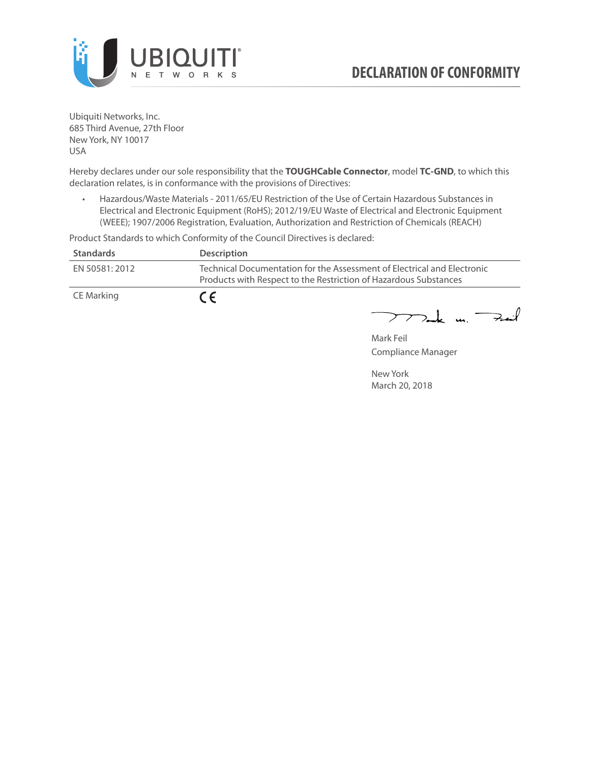

Ubiquiti Networks, Inc. 685 Third Avenue, 27th Floor New York, NY 10017 USA

Hereby declares under our sole responsibility that the **TOUGHCable Connector**, model **TC-GND**, to which this declaration relates, is in conformance with the provisions of Directives:

• Hazardous/Waste Materials - 2011/65/EU Restriction of the Use of Certain Hazardous Substances in Electrical and Electronic Equipment (RoHS); 2012/19/EU Waste of Electrical and Electronic Equipment (WEEE); 1907/2006 Registration, Evaluation, Authorization and Restriction of Chemicals (REACH)

Product Standards to which Conformity of the Council Directives is declared:

| <b>Standards</b> | <b>Description</b>                                                                                                                          |
|------------------|---------------------------------------------------------------------------------------------------------------------------------------------|
| EN 50581: 2012   | Technical Documentation for the Assessment of Electrical and Electronic<br>Products with Respect to the Restriction of Hazardous Substances |
| CE Marking       | $\epsilon$                                                                                                                                  |

 $772$ ak m. Fail

Mark Feil Compliance Manager

New York March 20, 2018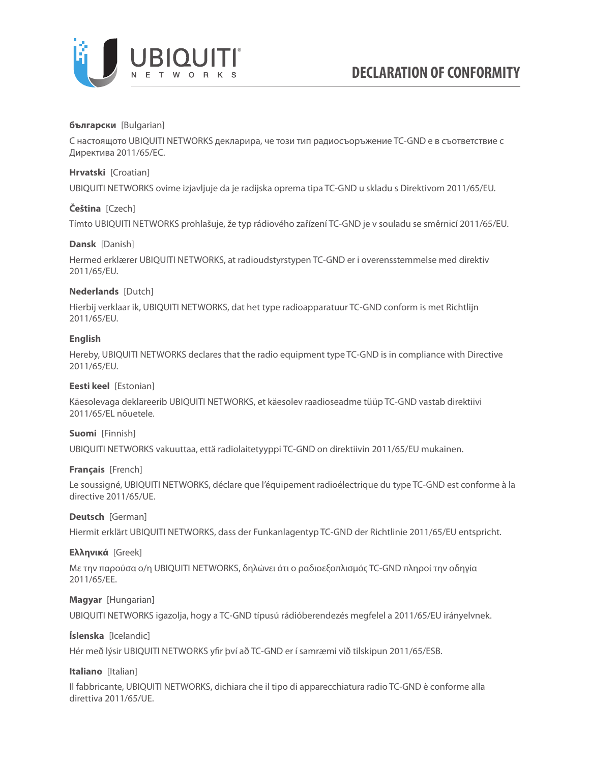

### **български** [Bulgarian]

С настоящото UBIQUITI NETWORKS декларира, че този тип радиосъоръжение TC-GND е в съответствие с Директива 2011/65/ЕС.

### **Hrvatski** [Croatian]

UBIQUITI NETWORKS ovime izjavljuje da je radijska oprema tipa TC-GND u skladu s Direktivom 2011/65/ЕU.

# **Čeština** [Czech]

Tímto UBIQUITI NETWORKS prohlašuje, že typ rádiového zařízení TC-GND je v souladu se směrnicí 2011/65/ЕU.

### **Dansk** [Danish]

Hermed erklærer UBIQUITI NETWORKS, at radioudstyrstypen TC-GND er i overensstemmelse med direktiv 2011/65/ЕU.

# **Nederlands** [Dutch]

Hierbij verklaar ik, UBIQUITI NETWORKS, dat het type radioapparatuur TC-GND conform is met Richtlijn 2011/65/ЕU.

# **English**

Hereby, UBIQUITI NETWORKS declares that the radio equipment type TC-GND is in compliance with Directive 2011/65/ЕU.

### **Eesti keel** [Estonian]

Käesolevaga deklareerib UBIQUITI NETWORKS, et käesolev raadioseadme tüüp TC-GND vastab direktiivi 2011/65/EL nõuetele.

### **Suomi** [Finnish]

UBIQUITI NETWORKS vakuuttaa, että radiolaitetyyppi TC-GND on direktiivin 2011/65/EU mukainen.

### **Français** [French]

Le soussigné, UBIQUITI NETWORKS, déclare que l'équipement radioélectrique du type TC-GND est conforme à la directive 2011/65/UE.

### **Deutsch** [German]

Hiermit erklärt UBIQUITI NETWORKS, dass der Funkanlagentyp TC-GND der Richtlinie 2011/65/EU entspricht.

### **Ελληνικά** [Greek]

Με την παρούσα ο/η UBIQUITI NETWORKS, δηλώνει ότι ο ραδιοεξοπλισμός TC-GND πληροί την οδηγία 2011/65/EE.

### **Magyar** [Hungarian]

UBIQUITI NETWORKS igazolja, hogy a TC-GND típusú rádióberendezés megfelel a 2011/65/EU irányelvnek.

# **Íslenska** [Icelandic]

Hér með lýsir UBIQUITI NETWORKS yfir því að TC-GND er í samræmi við tilskipun 2011/65/ESB.

### **Italiano** [Italian]

Il fabbricante, UBIQUITI NETWORKS, dichiara che il tipo di apparecchiatura radio TC-GND è conforme alla direttiva 2011/65/UE.